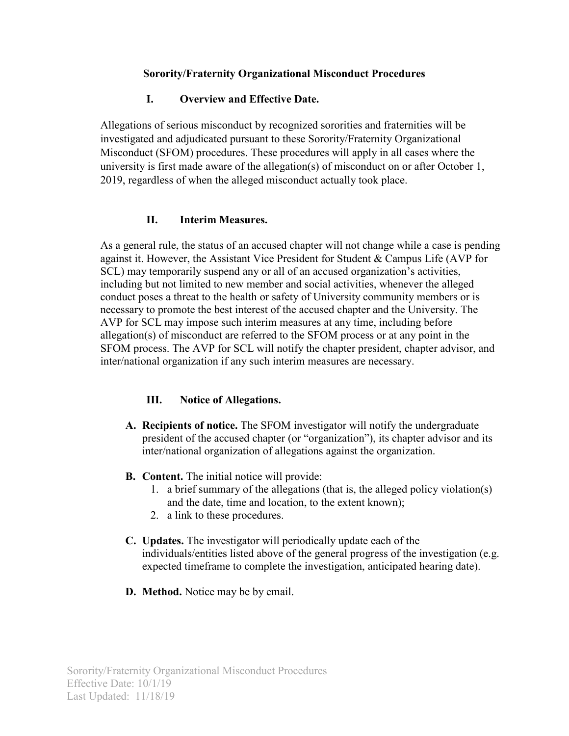#### **Sorority/Fraternity Organizational Misconduct Procedures**

#### **I. Overview and Effective Date.**

Allegations of serious misconduct by recognized sororities and fraternities will be investigated and adjudicated pursuant to these Sorority/Fraternity Organizational Misconduct (SFOM) procedures. These procedures will apply in all cases where the university is first made aware of the allegation(s) of misconduct on or after October 1, 2019, regardless of when the alleged misconduct actually took place.

### **II. Interim Measures.**

As a general rule, the status of an accused chapter will not change while a case is pending against it. However, the Assistant Vice President for Student & Campus Life (AVP for SCL) may temporarily suspend any or all of an accused organization's activities, including but not limited to new member and social activities, whenever the alleged conduct poses a threat to the health or safety of University community members or is necessary to promote the best interest of the accused chapter and the University. The AVP for SCL may impose such interim measures at any time, including before allegation(s) of misconduct are referred to the SFOM process or at any point in the SFOM process. The AVP for SCL will notify the chapter president, chapter advisor, and inter/national organization if any such interim measures are necessary.

### **III. Notice of Allegations.**

- **A. Recipients of notice.** The SFOM investigator will notify the undergraduate president of the accused chapter (or "organization"), its chapter advisor and its inter/national organization of allegations against the organization.
- **B. Content.** The initial notice will provide:
	- 1. a brief summary of the allegations (that is, the alleged policy violation(s) and the date, time and location, to the extent known);
	- 2. a link to these procedures.
- **C. Updates.** The investigator will periodically update each of the individuals/entities listed above of the general progress of the investigation (e.g. expected timeframe to complete the investigation, anticipated hearing date).
- **D. Method.** Notice may be by email.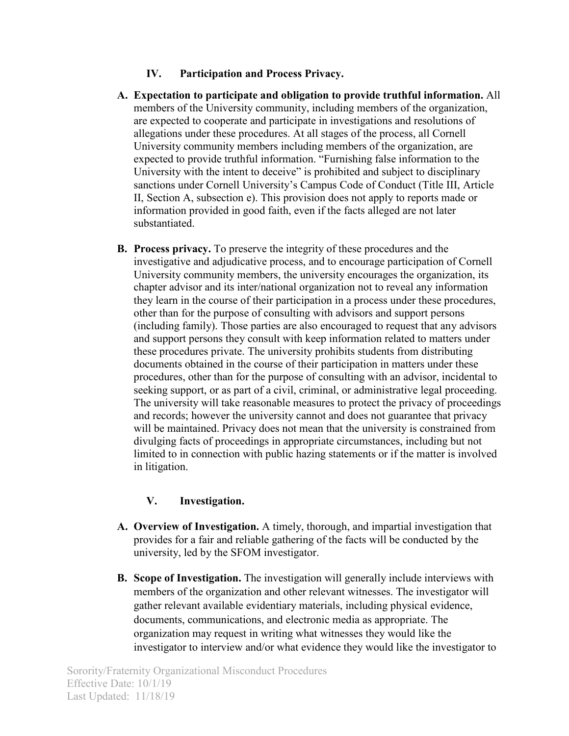# **IV. Participation and Process Privacy.**

- **A. Expectation to participate and obligation to provide truthful information.** All members of the University community, including members of the organization, are expected to cooperate and participate in investigations and resolutions of allegations under these procedures. At all stages of the process, all Cornell University community members including members of the organization, are expected to provide truthful information. "Furnishing false information to the University with the intent to deceive" is prohibited and subject to disciplinary sanctions under Cornell University's Campus Code of Conduct (Title III, Article II, Section A, subsection e). This provision does not apply to reports made or information provided in good faith, even if the facts alleged are not later substantiated.
- **B. Process privacy.** To preserve the integrity of these procedures and the investigative and adjudicative process, and to encourage participation of Cornell University community members, the university encourages the organization, its chapter advisor and its inter/national organization not to reveal any information they learn in the course of their participation in a process under these procedures, other than for the purpose of consulting with advisors and support persons (including family). Those parties are also encouraged to request that any advisors and support persons they consult with keep information related to matters under these procedures private. The university prohibits students from distributing documents obtained in the course of their participation in matters under these procedures, other than for the purpose of consulting with an advisor, incidental to seeking support, or as part of a civil, criminal, or administrative legal proceeding. The university will take reasonable measures to protect the privacy of proceedings and records; however the university cannot and does not guarantee that privacy will be maintained. Privacy does not mean that the university is constrained from divulging facts of proceedings in appropriate circumstances, including but not limited to in connection with public hazing statements or if the matter is involved in litigation.

# **V. Investigation.**

- **A. Overview of Investigation.** A timely, thorough, and impartial investigation that provides for a fair and reliable gathering of the facts will be conducted by the university, led by the SFOM investigator.
- **B. Scope of Investigation.** The investigation will generally include interviews with members of the organization and other relevant witnesses. The investigator will gather relevant available evidentiary materials, including physical evidence, documents, communications, and electronic media as appropriate. The organization may request in writing what witnesses they would like the investigator to interview and/or what evidence they would like the investigator to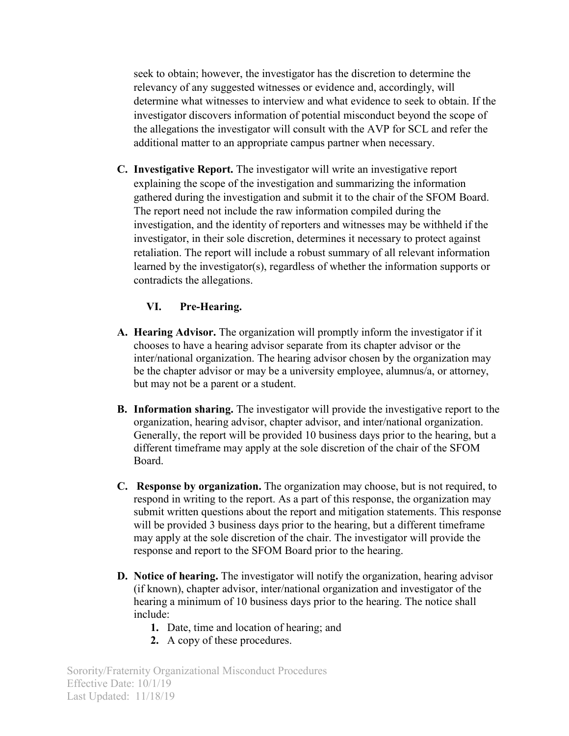seek to obtain; however, the investigator has the discretion to determine the relevancy of any suggested witnesses or evidence and, accordingly, will determine what witnesses to interview and what evidence to seek to obtain. If the investigator discovers information of potential misconduct beyond the scope of the allegations the investigator will consult with the AVP for SCL and refer the additional matter to an appropriate campus partner when necessary.

**C. Investigative Report.** The investigator will write an investigative report explaining the scope of the investigation and summarizing the information gathered during the investigation and submit it to the chair of the SFOM Board. The report need not include the raw information compiled during the investigation, and the identity of reporters and witnesses may be withheld if the investigator, in their sole discretion, determines it necessary to protect against retaliation. The report will include a robust summary of all relevant information learned by the investigator(s), regardless of whether the information supports or contradicts the allegations.

### **VI. Pre-Hearing.**

- **A. Hearing Advisor.** The organization will promptly inform the investigator if it chooses to have a hearing advisor separate from its chapter advisor or the inter/national organization. The hearing advisor chosen by the organization may be the chapter advisor or may be a university employee, alumnus/a, or attorney, but may not be a parent or a student.
- **B. Information sharing.** The investigator will provide the investigative report to the organization, hearing advisor, chapter advisor, and inter/national organization. Generally, the report will be provided 10 business days prior to the hearing, but a different timeframe may apply at the sole discretion of the chair of the SFOM Board.
- **C. Response by organization.** The organization may choose, but is not required, to respond in writing to the report. As a part of this response, the organization may submit written questions about the report and mitigation statements. This response will be provided 3 business days prior to the hearing, but a different timeframe may apply at the sole discretion of the chair. The investigator will provide the response and report to the SFOM Board prior to the hearing.
- **D. Notice of hearing.** The investigator will notify the organization, hearing advisor (if known), chapter advisor, inter/national organization and investigator of the hearing a minimum of 10 business days prior to the hearing. The notice shall include:
	- **1.** Date, time and location of hearing; and
	- **2.** A copy of these procedures.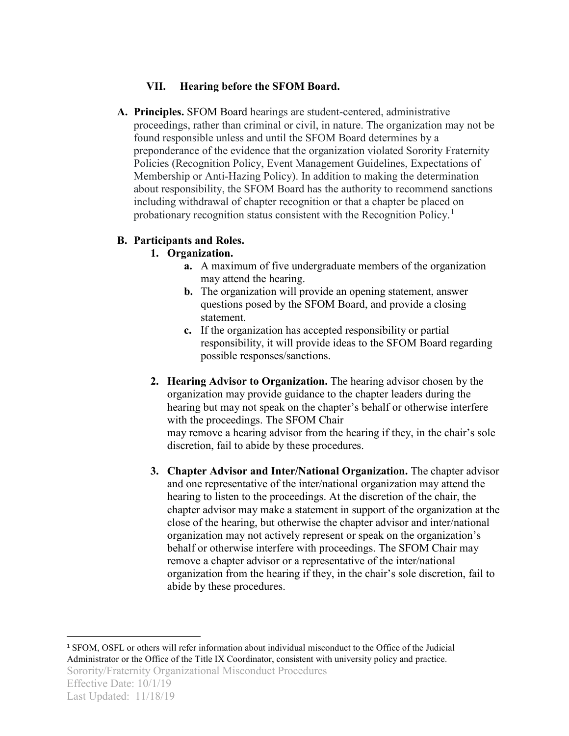# **VII. Hearing before the SFOM Board.**

**A. Principles.** SFOM Board hearings are student-centered, administrative proceedings, rather than criminal or civil, in nature. The organization may not be found responsible unless and until the SFOM Board determines by a preponderance of the evidence that the organization violated Sorority Fraternity Policies (Recognition Policy, Event Management Guidelines, Expectations of Membership or Anti-Hazing Policy). In addition to making the determination about responsibility, the SFOM Board has the authority to recommend sanctions including withdrawal of chapter recognition or that a chapter be placed on probationary recognition status consistent with the Recognition Policy.<sup>[1](#page-3-0)</sup>

# **B. Participants and Roles.**

# **1. Organization.**

- **a.** A maximum of five undergraduate members of the organization may attend the hearing.
- **b.** The organization will provide an opening statement, answer questions posed by the SFOM Board, and provide a closing statement.
- **c.** If the organization has accepted responsibility or partial responsibility, it will provide ideas to the SFOM Board regarding possible responses/sanctions.
- **2. Hearing Advisor to Organization.** The hearing advisor chosen by the organization may provide guidance to the chapter leaders during the hearing but may not speak on the chapter's behalf or otherwise interfere with the proceedings. The SFOM Chair may remove a hearing advisor from the hearing if they, in the chair's sole

discretion, fail to abide by these procedures.

**3. Chapter Advisor and Inter/National Organization.** The chapter advisor and one representative of the inter/national organization may attend the hearing to listen to the proceedings. At the discretion of the chair, the chapter advisor may make a statement in support of the organization at the close of the hearing, but otherwise the chapter advisor and inter/national organization may not actively represent or speak on the organization's behalf or otherwise interfere with proceedings. The SFOM Chair may remove a chapter advisor or a representative of the inter/national organization from the hearing if they, in the chair's sole discretion, fail to abide by these procedures.

<span id="page-3-0"></span>Sorority/Fraternity Organizational Misconduct Procedures 1 SFOM, OSFL or others will refer information about individual misconduct to the Office of the Judicial Administrator or the Office of the Title IX Coordinator, consistent with university policy and practice.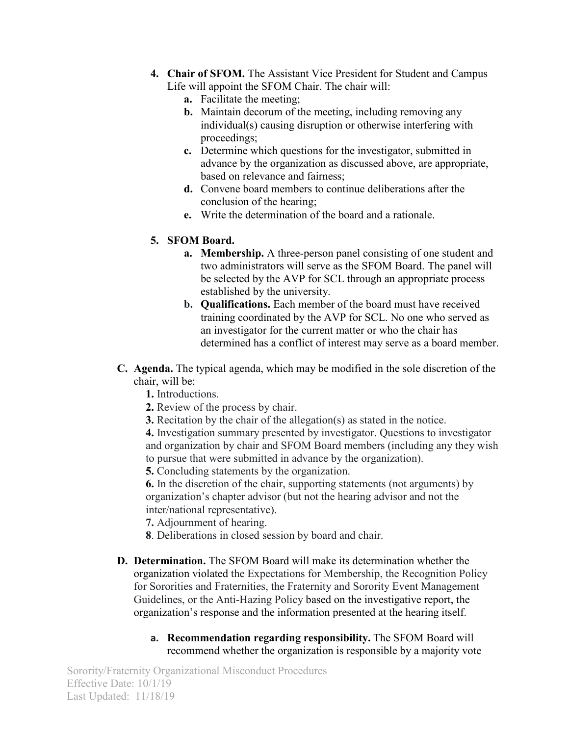- **4. Chair of SFOM.** The Assistant Vice President for Student and Campus Life will appoint the SFOM Chair. The chair will:
	- **a.** Facilitate the meeting;
	- **b.** Maintain decorum of the meeting, including removing any individual(s) causing disruption or otherwise interfering with proceedings;
	- **c.** Determine which questions for the investigator, submitted in advance by the organization as discussed above, are appropriate, based on relevance and fairness;
	- **d.** Convene board members to continue deliberations after the conclusion of the hearing;
	- **e.** Write the determination of the board and a rationale.

# **5. SFOM Board.**

- **a. Membership.** A three-person panel consisting of one student and two administrators will serve as the SFOM Board. The panel will be selected by the AVP for SCL through an appropriate process established by the university.
- **b. Qualifications.** Each member of the board must have received training coordinated by the AVP for SCL. No one who served as an investigator for the current matter or who the chair has determined has a conflict of interest may serve as a board member.
- **C. Agenda.** The typical agenda, which may be modified in the sole discretion of the chair, will be:
	- **1.** Introductions.
	- **2.** Review of the process by chair.
	- **3.** Recitation by the chair of the allegation(s) as stated in the notice.

**4.** Investigation summary presented by investigator. Questions to investigator and organization by chair and SFOM Board members (including any they wish to pursue that were submitted in advance by the organization).

**5.** Concluding statements by the organization.

**6.** In the discretion of the chair, supporting statements (not arguments) by organization's chapter advisor (but not the hearing advisor and not the inter/national representative).

- **7.** Adjournment of hearing.
- **8**. Deliberations in closed session by board and chair.
- **D. Determination.** The SFOM Board will make its determination whether the organization violated the Expectations for Membership, the Recognition Policy for Sororities and Fraternities, the Fraternity and Sorority Event Management Guidelines, or the Anti-Hazing Policy based on the investigative report, the organization's response and the information presented at the hearing itself.
	- **a. Recommendation regarding responsibility.** The SFOM Board will recommend whether the organization is responsible by a majority vote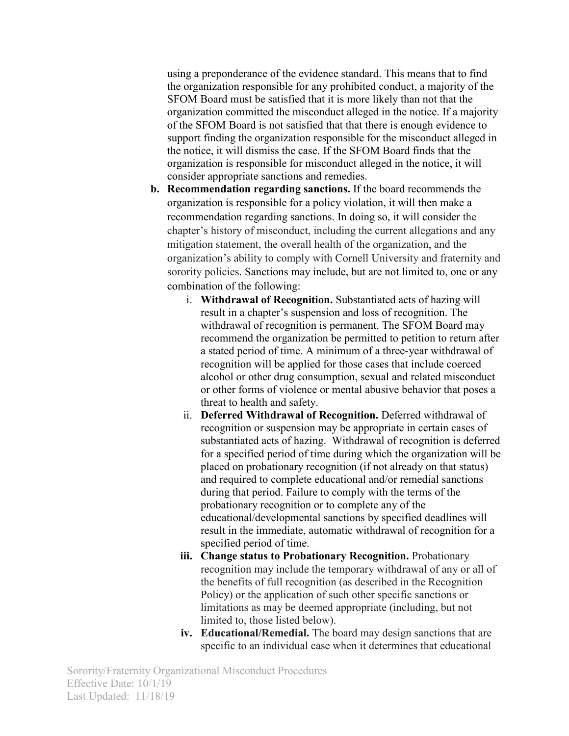using a preponderance of the evidence standard. This means that to find the organization responsible for any prohibited conduct, a majority of the SFOM Board must be satisfied that it is more likely than not that the organization committed the misconduct alleged in the notice. If a majority of the SFOM Board is not satisfied that that there is enough evidence to support finding the organization responsible for the misconduct alleged in the notice, it will dismiss the case. If the SFOM Board finds that the organization is responsible for misconduct alleged in the notice, it will consider appropriate sanctions and remedies.

- **b. Recommendation regarding sanctions.** If the board recommends the organization is responsible for a policy violation, it will then make a recommendation regarding sanctions. In doing so, it will consider the chapter's history of misconduct, including the current allegations and any mitigation statement, the overall health of the organization, and the organization's ability to comply with Cornell University and fraternity and sorority policies. Sanctions may include, but are not limited to, one or any combination of the following:
	- i. **Withdrawal of Recognition.** Substantiated acts of hazing will result in a chapter's suspension and loss of recognition. The withdrawal of recognition is permanent. The SFOM Board may recommend the organization be permitted to petition to return after a stated period of time. A minimum of a three-year withdrawal of recognition will be applied for those cases that include coerced alcohol or other drug consumption, sexual and related misconduct or other forms of violence or mental abusive behavior that poses a threat to health and safety.
	- ii. **Deferred Withdrawal of Recognition.** Deferred withdrawal of recognition or suspension may be appropriate in certain cases of substantiated acts of hazing. Withdrawal of recognition is deferred for a specified period of time during which the organization will be placed on probationary recognition (if not already on that status) and required to complete educational and/or remedial sanctions during that period. Failure to comply with the terms of the probationary recognition or to complete any of the educational/developmental sanctions by specified deadlines will result in the immediate, automatic withdrawal of recognition for a specified period of time.
	- **iii. Change status to Probationary Recognition.** Probationary recognition may include the temporary withdrawal of any or all of the benefits of full recognition (as described in the Recognition Policy) or the application of such other specific sanctions or limitations as may be deemed appropriate (including, but not limited to, those listed below).
	- **iv. Educational/Remedial.** The board may design sanctions that are specific to an individual case when it determines that educational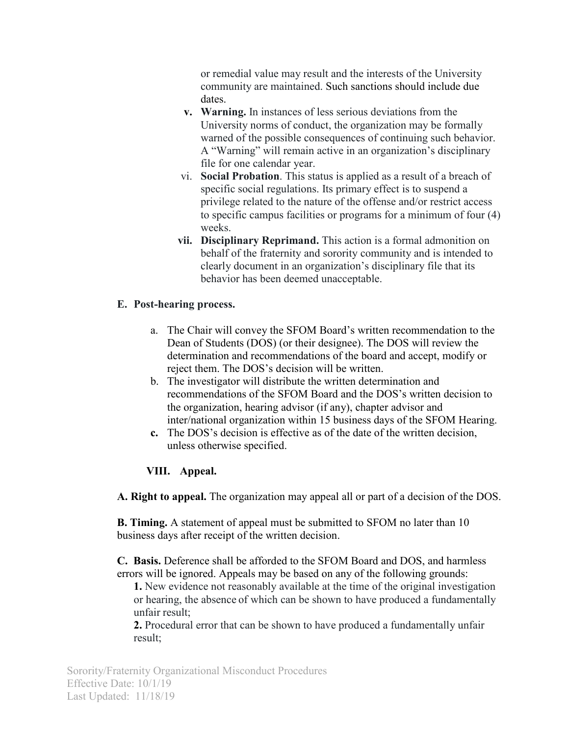or remedial value may result and the interests of the University community are maintained. Such sanctions should include due dates.

- **v. Warning.** In instances of less serious deviations from the University norms of conduct, the organization may be formally warned of the possible consequences of continuing such behavior. A "Warning" will remain active in an organization's disciplinary file for one calendar year.
- vi. **Social Probation**. This status is applied as a result of a breach of specific social regulations. Its primary effect is to suspend a privilege related to the nature of the offense and/or restrict access to specific campus facilities or programs for a minimum of four (4) weeks.
- **vii. Disciplinary Reprimand.** This action is a formal admonition on behalf of the fraternity and sorority community and is intended to clearly document in an organization's disciplinary file that its behavior has been deemed unacceptable.

### **E. Post-hearing process.**

- a. The Chair will convey the SFOM Board's written recommendation to the Dean of Students (DOS) (or their designee). The DOS will review the determination and recommendations of the board and accept, modify or reject them. The DOS's decision will be written.
- b. The investigator will distribute the written determination and recommendations of the SFOM Board and the DOS's written decision to the organization, hearing advisor (if any), chapter advisor and inter/national organization within 15 business days of the SFOM Hearing.
- **c.** The DOS's decision is effective as of the date of the written decision, unless otherwise specified.

### **VIII. Appeal.**

**A. Right to appeal.** The organization may appeal all or part of a decision of the DOS.

**B. Timing.** A statement of appeal must be submitted to SFOM no later than 10 business days after receipt of the written decision.

**C. Basis.** Deference shall be afforded to the SFOM Board and DOS, and harmless errors will be ignored. Appeals may be based on any of the following grounds:

**1.** New evidence not reasonably available at the time of the original investigation or hearing, the absence of which can be shown to have produced a fundamentally unfair result;

**2.** Procedural error that can be shown to have produced a fundamentally unfair result;